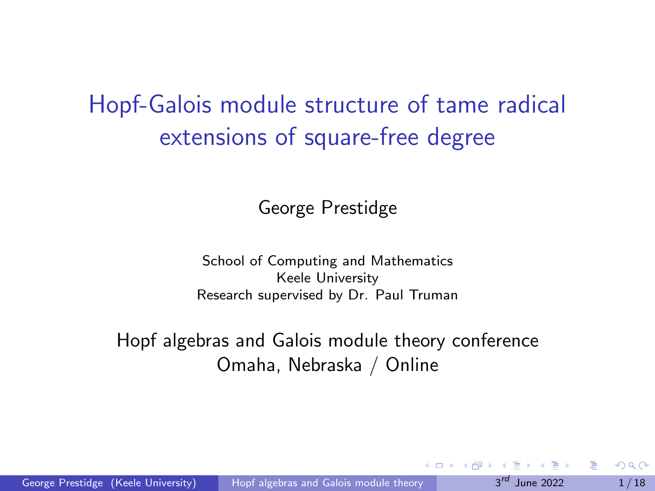## <span id="page-0-0"></span>Hopf-Galois module structure of tame radical extensions of square-free degree

George Prestidge

School of Computing and Mathematics Keele University Research supervised by Dr. Paul Truman

#### Hopf algebras and Galois module theory conference Omaha, Nebraska / Online

 $-10<sup>-1</sup>$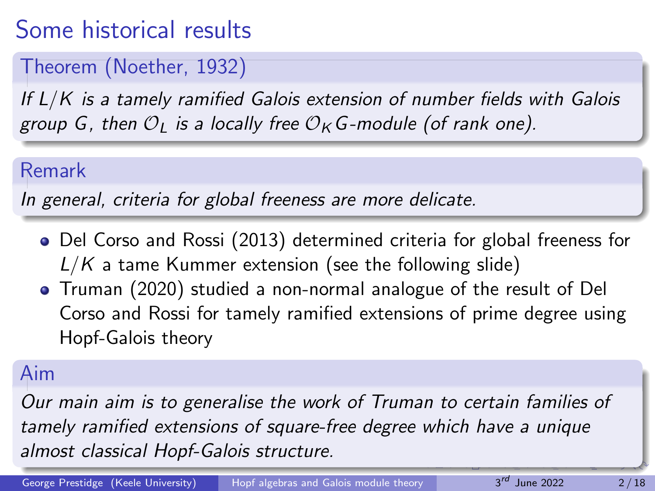# Some historical results

### Theorem (Noether, 1932)

If L/K is a tamely ramified Galois extension of number fields with Galois group G, then  $O_L$  is a locally free  $O_K$  G-module (of rank one).

#### Remark

In general, criteria for global freeness are more delicate.

- Del Corso and Rossi (2013) determined criteria for global freeness for  $L/K$  a tame Kummer extension (see the following slide)
- Truman (2020) studied a non-normal analogue of the result of Del Corso and Rossi for tamely ramified extensions of prime degree using Hopf-Galois theory

### Aim

Our main aim is to generalise the work of Truman to certain families of tamely ramified extensions of square-free degree which have a unique almost classical Hopf-Galois structure.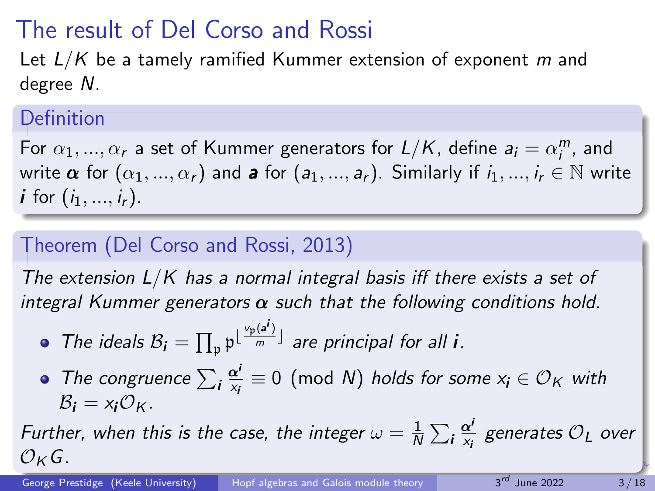# <span id="page-2-0"></span>The result of Del Corso and Rossi

Let  $L/K$  be a tamely ramified Kummer extension of exponent m and degree N.

### Definition

For  $\alpha_1, ..., \alpha_r$  a set of Kummer generators for  $L/K$ , define  $a_i = \alpha_i^m$ , and write  $\alpha$  for  $(\alpha_1, ..., \alpha_r)$  and a for  $(a_1, ..., a_r)$ . Similarly if  $i_1, ..., i_r \in \mathbb{N}$  write *i* for  $(i_1, ..., i_r)$ .

### Theorem (Del Corso and Rossi, 2013)

The extension  $L/K$  has a normal integral basis iff there exists a set of integral Kummer generators  $\alpha$  such that the following conditions hold.

• The ideals 
$$
B_i = \prod_{\mathfrak{p}} \mathfrak{p}^{\lfloor \frac{v_{\mathfrak{p}}(a^i)}{m} \rfloor}
$$
 are principal for all *i*.

The congruence  $\sum_i \frac{\alpha^i}{x_i}$  $\frac{\alpha'}{x_i}\equiv 0\pmod N$  holds for some  $x_i\in \mathcal{O}_\mathcal{K}$  with  $\mathcal{B}_i = x_i \mathcal{O}_K$ .

Further, when this is the case, the integer  $\omega = \frac{1}{\Lambda}$  $\frac{1}{N}\sum_i \frac{\alpha^i}{x_i}$  $\frac{\alpha'}{\mathsf{x}_i}$  generates  $\mathcal{O}_L$  over  $O_{K}G$ .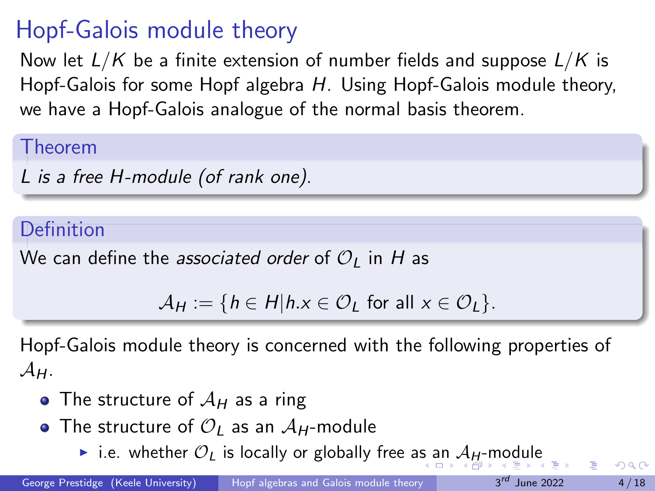# <span id="page-3-0"></span>Hopf-Galois module theory

Now let  $L/K$  be a finite extension of number fields and suppose  $L/K$  is Hopf-Galois for some Hopf algebra H. Using Hopf-Galois module theory, we have a Hopf-Galois analogue of the normal basis theorem.

Theorem

L is a free H-module (of rank one).

#### Definition

We can define the associated order of  $\mathcal{O}_I$  in H as

$$
\mathcal{A}_H := \{ h \in H | h.x \in \mathcal{O}_L \text{ for all } x \in \mathcal{O}_L \}.
$$

Hopf-Galois module theory is concerned with the following properties of  $\mathcal{A}_{H}$ .

- The structure of  $A_H$  as a ring
- The structure of  $\mathcal{O}_I$  as an  $\mathcal{A}_H$ -module
	- ▶ i.[e](#page-0-0). whether  $\mathcal{O}_L$  $\mathcal{O}_L$  $\mathcal{O}_L$  is locally or globally free [as a](#page-2-0)[n](#page-4-0)  $\mathcal{A}_H$  $\mathcal{A}_H$  $\mathcal{A}_H$  $\mathcal{A}_H$ [-](#page-3-0)m[od](#page-0-0)[ul](#page-17-0)e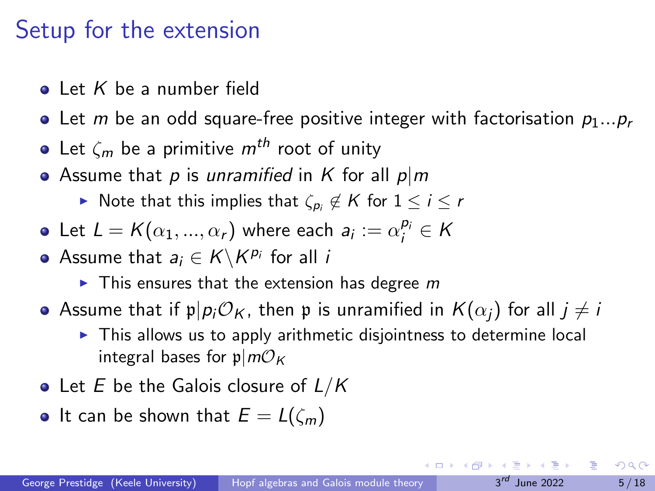### <span id="page-4-0"></span>Setup for the extension

- $\bullet$  Let K be a number field
- Let m be an odd square-free positive integer with factorisation  $p_1...p_r$
- Let  $\zeta_m$  be a primitive  $m^{th}$  root of unity
- Assume that p is unramified in K for all  $p|m$ 
	- ▶ Note that this implies that  $\zeta_{p_i} \not\in K$  for  $1 \leq i \leq r$
- Let  $L = K(\alpha_1, ..., \alpha_r)$  where each  $a_i := \alpha_i^{p_i} \in K$
- Assume that  $a_i \in K \backslash K^{p_i}$  for all  $i$ 
	- $\blacktriangleright$  This ensures that the extension has degree m
- Assume that if  $p|p_i\mathcal{O}_K$ , then p is unramified in  $K(\alpha_i)$  for all  $j \neq i$ 
	- $\triangleright$  This allows us to apply arithmetic disjointness to determine local integral bases for  $p/m\mathcal{O}_K$
- Let  $E$  be the Galois closure of  $L/K$
- It can be shown that  $E = L(\zeta_m)$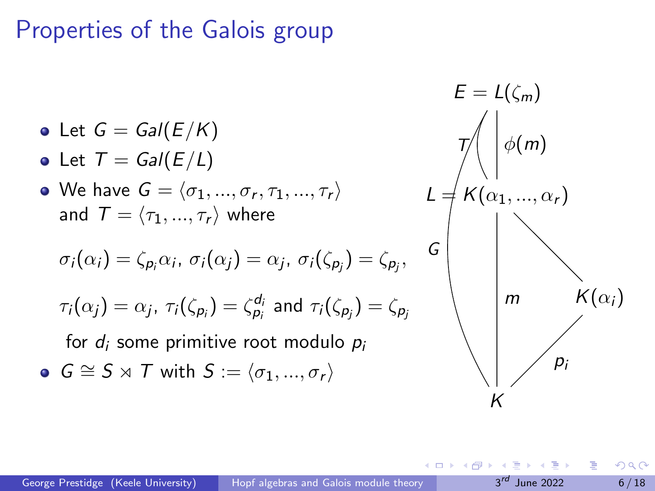### Properties of the Galois group

\n- \n
$$
E = L(\zeta_m)
$$
\n
\n- \n
$$
E = L(\zeta_m)
$$
\n
\n- \n
$$
E = L(\zeta_m)
$$
\n
\n- \n
$$
E = L(\zeta_m)
$$
\n
\n- \n
$$
E = L(\zeta_m)
$$
\n
\n- \n
$$
E = L(\zeta_m)
$$
\n
\n- \n
$$
E = L(\zeta_m)
$$
\n
\n- \n
$$
E = L(\zeta_m)
$$
\n
\n- \n
$$
E = L(\zeta_m)
$$
\n
\n- \n
$$
E = L(\zeta_m)
$$
\n
\n- \n
$$
E = L(\zeta_m)
$$
\n
\n- \n
$$
E = L(\zeta_m)
$$
\n
\n- \n
$$
E = L(\zeta_m)
$$
\n
\n- \n
$$
E = L(\zeta_m)
$$
\n
\n- \n
$$
E = L(\zeta_m)
$$
\n
\n- \n
$$
E = L(\zeta_m)
$$
\n
\n- \n
$$
E = L(\zeta_m)
$$
\n
\n- \n
$$
E = L(\zeta_m)
$$
\n
\n- \n
$$
E = L(\zeta_m)
$$
\n
\n- \n
$$
E = L(\zeta_m)
$$
\n
\n- \n
$$
E = L(\zeta_m)
$$
\n
\n- \n
$$
E = L(\zeta_m)
$$
\n
\n- \n
$$
E = L(\zeta_m)
$$
\n
\n- \n
$$
E = L(\zeta_m)
$$
\n
\n- \n
$$
E = L(\zeta_m)
$$
\n
\n- \n
$$
E = L(\zeta_m)
$$
\n
\n- \n
$$
E = L(\zeta_m)
$$
\n
\n- \n
$$
E = L(\zeta_m)
$$
\n
\n- \n
$$
E = L(\zeta_m)
$$
\n
\n- \n
$$
E = L(\zeta_m)
$$
\n
\n- \n
$$
E = L(\zeta_m)
$$
\n
\n- \n
$$
E = L(\zeta_m)
$$

4日下

4 同 ト

÷,

 $\leftarrow \equiv$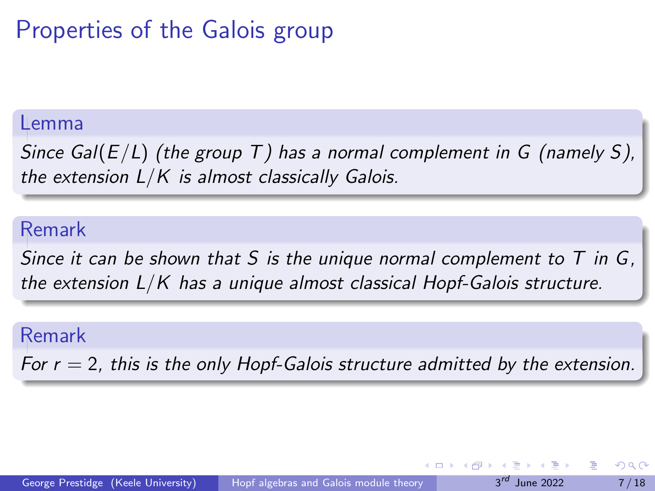## Properties of the Galois group

#### Lemma

Since Gal( $E/L$ ) (the group T) has a normal complement in G (namely S), the extension  $L/K$  is almost classically Galois.

#### Remark

Since it can be shown that S is the unique normal complement to  $T$  in  $G$ , the extension  $L/K$  has a unique almost classical Hopf-Galois structure.

#### Remark

For  $r = 2$ , this is the only Hopf-Galois structure admitted by the extension.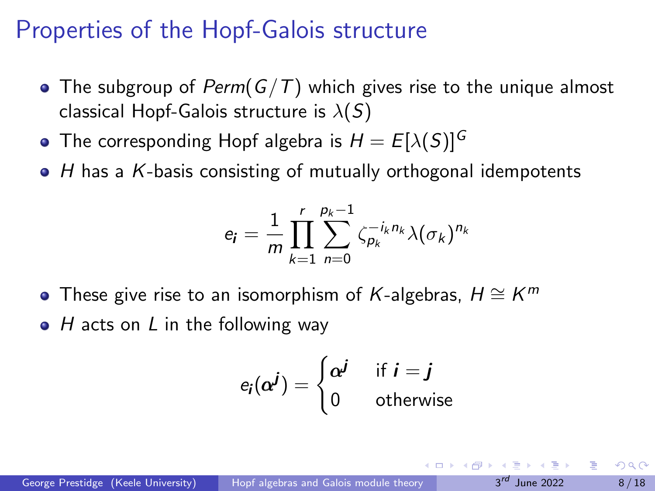### Properties of the Hopf-Galois structure

- The subgroup of Perm( $G/T$ ) which gives rise to the unique almost classical Hopf-Galois structure is  $\lambda(S)$
- The corresponding Hopf algebra is  $H = E[\lambda(S)]^G$
- $\bullet$  H has a K-basis consisting of mutually orthogonal idempotents

$$
e_{\mathbf{i}} = \frac{1}{m} \prod_{k=1}^r \sum_{n=0}^{p_k-1} \zeta_{p_k}^{-i_k n_k} \lambda(\sigma_k)^{n_k}
$$

- These give rise to an isomorphism of K-algebras,  $H \cong K^m$
- $\bullet$  H acts on L in the following way

$$
e_i(\alpha^j) = \begin{cases} \alpha^j & \text{if } i = j \\ 0 & \text{otherwise} \end{cases}
$$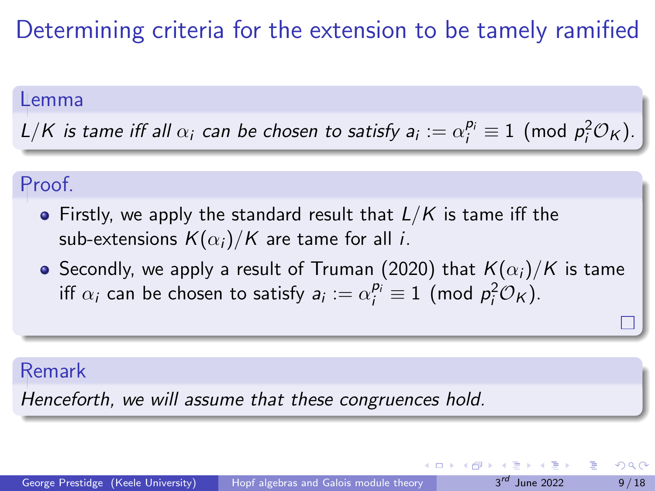### Determining criteria for the extension to be tamely ramified

#### Lemma

L/K is tame iff all  $\alpha_i$  can be chosen to satisfy  $a_i := \alpha_i^{p_i} \equiv 1 \pmod{p_i^2\mathcal{O}_K}$ .

#### Proof.

- Firstly, we apply the standard result that  $L/K$  is tame iff the sub-extensions  $K(\alpha_i)/K$  are tame for all *i*.
- Secondly, we apply a result of Truman (2020) that  $K(\alpha_i)/K$  is tame iff  $\alpha_i$  can be chosen to satisfy  $a_i := \alpha_i^{p_i} \equiv 1 \pmod{p_i^2 \mathcal{O}_K}$ .

#### Remark

Henceforth, we will assume that these congruences hold.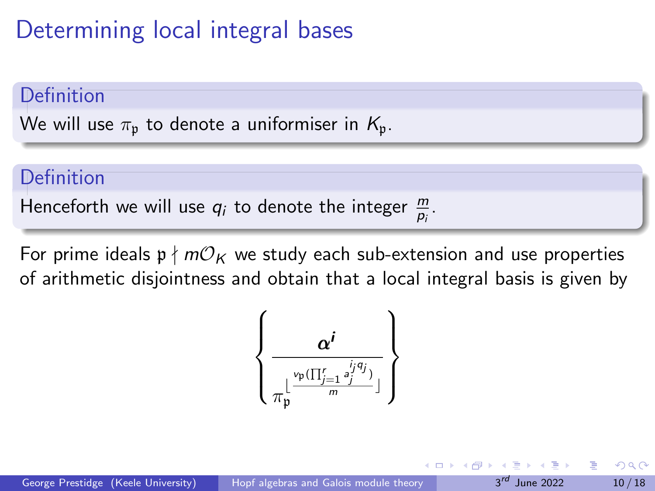## Determining local integral bases

#### **Definition**

We will use  $\pi_p$  to denote a uniformiser in  $K_p$ .

#### Definition

Henceforth we will use  $q_i$  to denote the integer  $\frac{m}{p_i}$ .

For prime ideals  $p \nmid mO_K$  we study each sub-extension and use properties of arithmetic disjointness and obtain that a local integral basis is given by

$$
\left\{\frac{\alpha^i}{\pi^{\lfloor\frac{\nu_{\mathfrak{p}}(\prod_{j=1}^r a_j^{i_jq_j})}{m} \rfloor}}\right\}
$$

 $\Omega$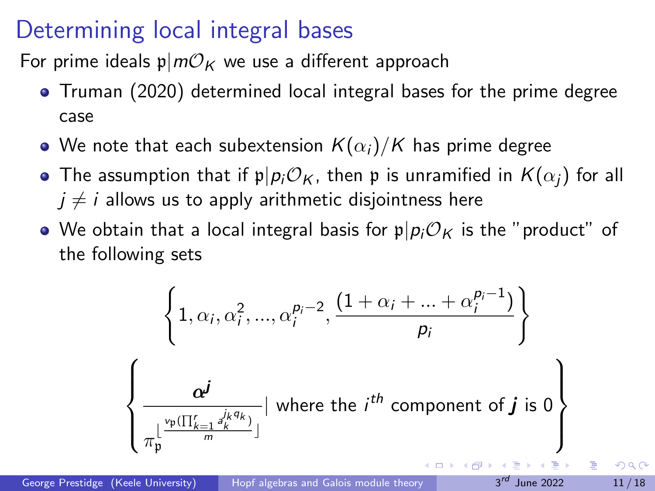### Determining local integral bases

For prime ideals  $p/mO_K$  we use a different approach

- Truman (2020) determined local integral bases for the prime degree case
- We note that each subextension  $K(\alpha_i)/K$  has prime degree
- The assumption that if  $\mathfrak{p}|p_i\mathcal{O}_K$ , then p is unramified in  $K(\alpha_i)$  for all  $j \neq i$  allows us to apply arithmetic disjointness here
- We obtain that a local integral basis for  $p|p_i\mathcal{O}_K$  is the "product" of the following sets

$$
\left\{1, \alpha_i, \alpha_i^2, ..., \alpha_i^{p_i-2}, \frac{(1+\alpha_i+...+\alpha_i^{p_i-1})}{p_i}\right\}
$$
\n
$$
\left\{\frac{\alpha^j}{\pi_p^{\lfloor\frac{\nu_p(\prod_{k=1}^r a_k^{j_k q_k})}{m}\rfloor}} \mid \text{where the } i^{th} \text{ component of } j \text{ is 0}\right\}
$$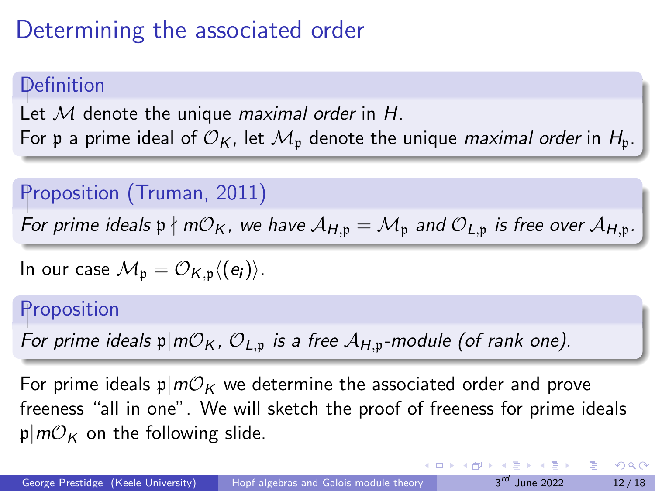## <span id="page-11-0"></span>Determining the associated order

### Definition

Let  $M$  denote the unique *maximal order* in  $H$ . For p a prime ideal of  $\mathcal{O}_K$ , let  $\mathcal{M}_n$  denote the unique *maximal order* in  $H_n$ .

#### Proposition (Truman, 2011)

For prime ideals  $p \nmid m\mathcal{O}_K$ , we have  $\mathcal{A}_{H,p} = \mathcal{M}_p$  and  $\mathcal{O}_{L,p}$  is free over  $\mathcal{A}_{H,p}$ .

In our case 
$$
\mathcal{M}_{\mathfrak{p}} = \mathcal{O}_{K,\mathfrak{p}} \langle (e_i) \rangle
$$
.

#### **Proposition**

For prime ideals  $\mathfrak{p}|m\mathcal{O}_K$ ,  $\mathcal{O}_{L,\mathfrak{p}}$  is a free  $\mathcal{A}_{H,\mathfrak{p}}$ -module (of rank one).

For prime ideals  $p|m\mathcal{O}_K$  we determine the associated order and prove freeness "all in one". We will sketch the proof of freeness for prime ideals  $p|m\mathcal{O}_K$  on the following slide.

イロト イ押ト イヨト イヨト

 $QQQ$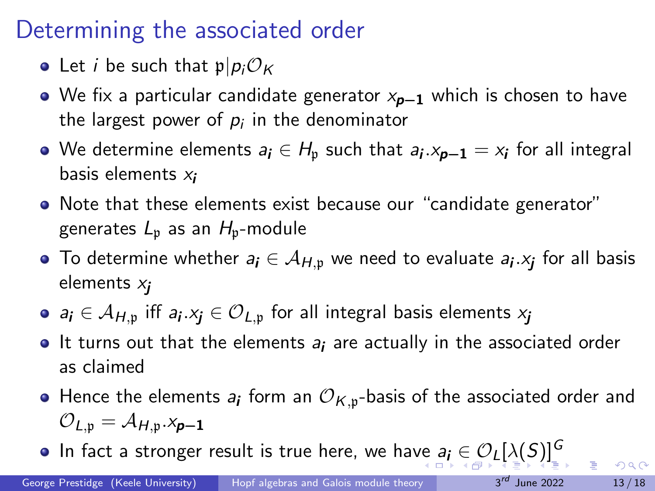### <span id="page-12-0"></span>Determining the associated order

- Let *i* be such that  $p|p_i\mathcal{O}_K$
- $\bullet$  We fix a particular candidate generator  $x_{p-1}$  which is chosen to have the largest power of  $\rho_i$  in the denominator
- We determine elements  $a_i \in H_\mathfrak{p}$  such that  $a_i.x_{\bm{p}-\bm{1}}=x_i$  for all integral basis elements  $x_i$
- Note that these elements exist because our "candidate generator" generates  $L_p$  as an  $H_p$ -module
- To determine whether  $\textit{a}_{\textit{i}} \in \mathcal{A}_{H, \frak{p}}$  we need to evaluate  $\textit{a}_{\textit{i}} . \textit{x}_{\textit{j}}$  for all basis elements  $x_i$
- $\mathsf{a_i}\in\mathcal{A}_{H,\mathfrak{p}}$  iff  $\mathsf{a_i}. \mathsf{x_j}\in{\mathcal{O}}_{L,\mathfrak{p}}$  for all integral basis elements  $\mathsf{x_j}$
- $\bullet$  It turns out that the elements  $a_i$  are actually in the associated order as claimed
- Hence the elements  $\pmb{a}_{\pmb{i}}$  form an  $\mathcal{O}_{\mathcal{K},\mathfrak{p}}$ -basis of the associated order and  $\mathcal{O}_{L,\mathfrak{p}} = \mathcal{A}_{H,\mathfrak{p}} \times_{\mathfrak{p}-1}$
- In fact a stronger result is true here, we ha[ve](#page-11-0)  $a_i \in \mathcal{O}_L[\lambda(S)]^G$  $a_i \in \mathcal{O}_L[\lambda(S)]^G$  $a_i \in \mathcal{O}_L[\lambda(S)]^G$  $a_i \in \mathcal{O}_L[\lambda(S)]^G$  $a_i \in \mathcal{O}_L[\lambda(S)]^G$  $a_i \in \mathcal{O}_L[\lambda(S)]^G$  $a_i \in \mathcal{O}_L[\lambda(S)]^G$  $a_i \in \mathcal{O}_L[\lambda(S)]^G$  $a_i \in \mathcal{O}_L[\lambda(S)]^G$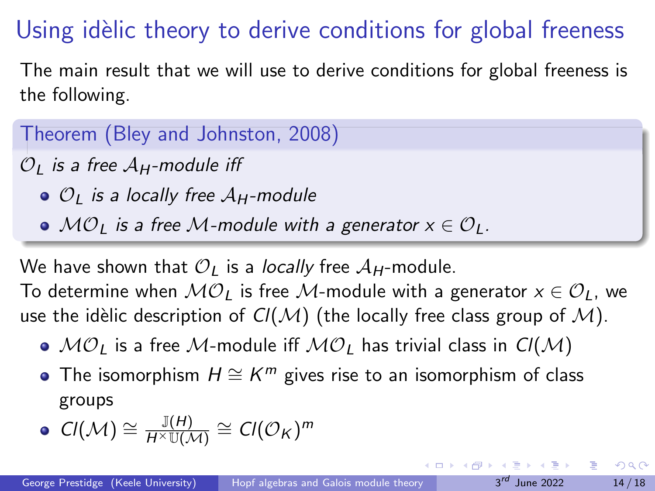# <span id="page-13-0"></span>Using idèlic theory to derive conditions for global freeness

The main result that we will use to derive conditions for global freeness is the following.

Theorem (Bley and Johnston, 2008)

 $\mathcal{O}_I$  is a free  $\mathcal{A}_H$ -module iff

 $\bullet$   $\mathcal{O}_I$  is a locally free  $\mathcal{A}_H$ -module

 $\bullet$  MO<sub>L</sub> is a free M-module with a generator  $x \in \mathcal{O}_L$ .

We have shown that  $\mathcal{O}_I$  is a *locally* free  $\mathcal{A}_H$ -module. To determine when  $MO_{l}$  is free M-module with a generator  $x \in \mathcal{O}_{l}$ , we

use the idèlic description of  $Cl(M)$  (the locally free class group of M).

- $\bullet$   $\mathcal{MO}_L$  is a free M-module iff  $\mathcal{MO}_L$  has trivial class in  $Cl(\mathcal{M})$
- The isomorphism  $H \cong K^m$  gives rise to an isomorphism of class groups

• 
$$
Cl(M) \cong \frac{\mathbb{J}(H)}{H^{\times}\mathbb{U}(\mathcal{M})} \cong Cl(\mathcal{O}_{K})^{m}
$$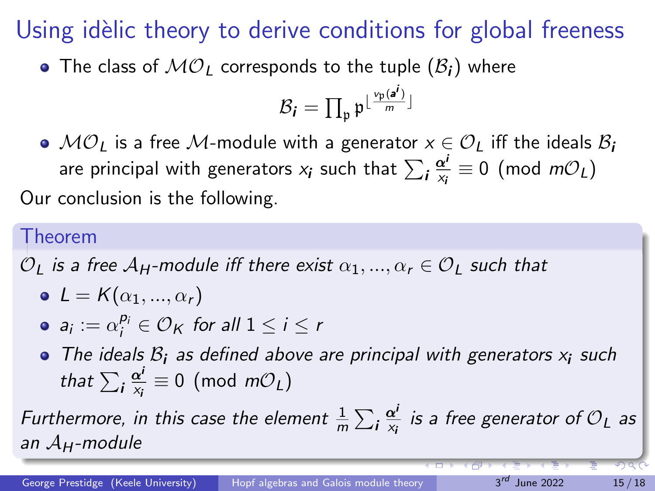# Using idèlic theory to derive conditions for global freeness

• The class of  $MO<sub>L</sub>$  corresponds to the tuple  $(\mathcal{B}_i)$  where

$$
\mathcal{B}_{\bm i} = \prod_{\mathfrak{p}} \mathfrak{p}^{\lfloor \frac{\nu_{\mathfrak{p}}(\bm{a}^{\bm i})}{m} \rfloor}
$$

 $\bullet$   $\mathcal{MO}_I$  is a free M-module with a generator  $x \in \mathcal{O}_I$  iff the ideals  $\mathcal{B}_i$ are principal with generators  $\mathsf{x}_{\boldsymbol i}$  such that  $\sum_{\boldsymbol i} \frac{\boldsymbol \alpha^i}{\mathsf{x}_{\boldsymbol i}}$  $\frac{\alpha'}{x_i} \equiv 0 \pmod{m\mathcal{O}_L}$ Our conclusion is the following.

#### Theorem

 $\mathcal{O}_I$  is a free  $\mathcal{A}_H$ -module iff there exist  $\alpha_1, ..., \alpha_r \in \mathcal{O}_I$  such that

$$
\bullet \ \mathsf{L} = \mathsf{K}(\alpha_1, ..., \alpha_r)
$$

• 
$$
a_i := \alpha_i^{p_i} \in \mathcal{O}_K
$$
 for all  $1 \leq i \leq r$ 

• The ideals  $B_i$  as defined above are principal with generators  $x_i$  such that  $\sum_{\boldsymbol{i}} \frac{\boldsymbol{\alpha}^{\boldsymbol{i}}}{\mathsf{x}_{\boldsymbol{i}}}$  $\frac{\alpha'}{x_i} \equiv 0 \pmod{m\mathcal{O}_L}$ 

Furthermore, in this case the element  $\frac{1}{m}\sum_{\bf i}\frac{{\bf \alpha}^{\bf i}}{x_{\bf i}}$  $\frac{\alpha^{\prime}}{x_{i}}$  is a free generator of  ${\cal O}_{L}$  as an  $A_H$ -module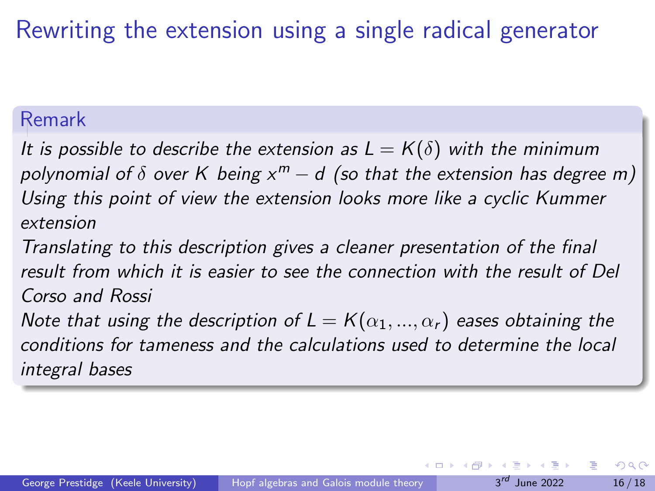## Rewriting the extension using a single radical generator

#### Remark

It is possible to describe the extension as  $L = K(\delta)$  with the minimum polynomial of  $\delta$  over  $K$  being  $x^m - d$  (so that the extension has degree m) Using this point of view the extension looks more like a cyclic Kummer extension

Translating to this description gives a cleaner presentation of the final result from which it is easier to see the connection with the result of Del Corso and Rossi

Note that using the description of  $L = K(\alpha_1, ..., \alpha_r)$  eases obtaining the conditions for tameness and the calculations used to determine the local integral bases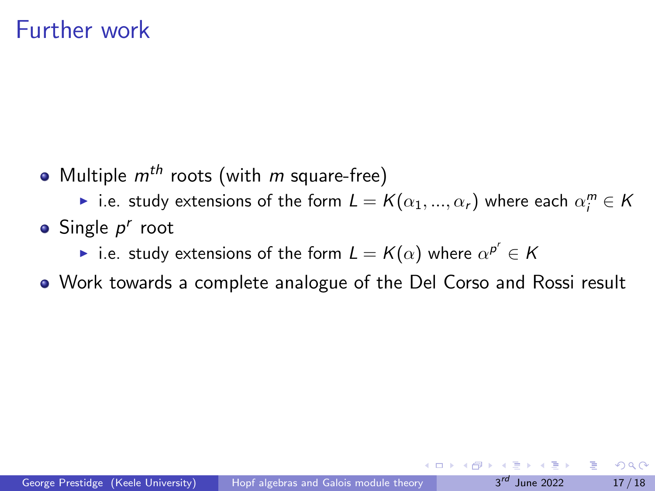### Further work

• Multiple  $m^{th}$  roots (with m square-free)

▶ i.e. study extensions of the form  $L = K(\alpha_1, ..., \alpha_r)$  where each  $\alpha_i^m \in K$ 

- Single  $p^r$  root
	- ▶ i.e. study extensions of the form  $L = K(\alpha)$  where  $\alpha^{p^r} \in K$
- Work towards a complete analogue of the Del Corso and Rossi result

 $QQQ$